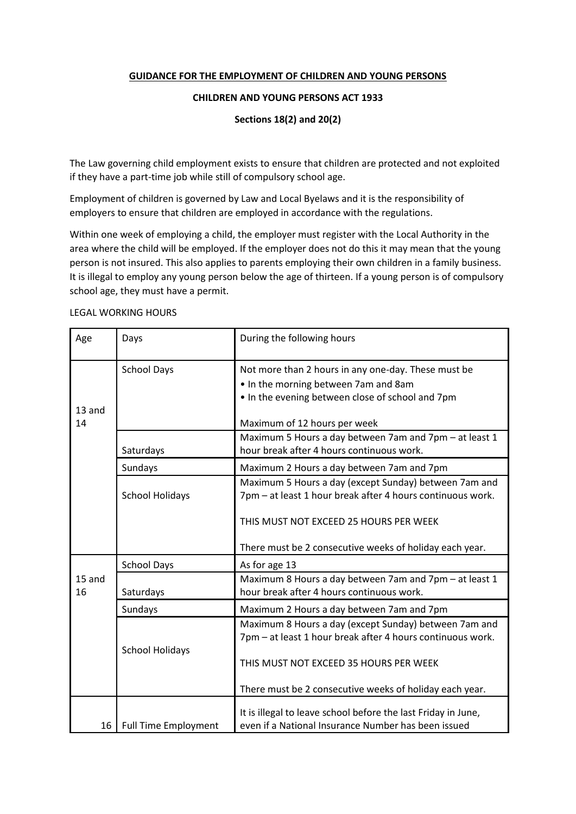## **GUIDANCE FOR THE EMPLOYMENT OF CHILDREN AND YOUNG PERSONS**

## **CHILDREN AND YOUNG PERSONS ACT 1933**

**Sections 18(2) and 20(2)**

The Law governing child employment exists to ensure that children are protected and not exploited if they have a part-time job while still of compulsory school age.

Employment of children is governed by Law and Local Byelaws and it is the responsibility of employers to ensure that children are employed in accordance with the regulations.

Within one week of employing a child, the employer must register with the Local Authority in the area where the child will be employed. If the employer does not do this it may mean that the young person is not insured. This also applies to parents employing their own children in a family business. It is illegal to employ any young person below the age of thirteen. If a young person is of compulsory school age, they must have a permit.

| Age          | Days                        | During the following hours                                                                                                                                                      |
|--------------|-----------------------------|---------------------------------------------------------------------------------------------------------------------------------------------------------------------------------|
| 13 and<br>14 | <b>School Days</b>          | Not more than 2 hours in any one-day. These must be<br>. In the morning between 7am and 8am<br>. In the evening between close of school and 7pm<br>Maximum of 12 hours per week |
|              | Saturdays                   | Maximum 5 Hours a day between 7am and 7pm - at least 1<br>hour break after 4 hours continuous work.                                                                             |
|              | Sundays                     | Maximum 2 Hours a day between 7am and 7pm                                                                                                                                       |
|              | <b>School Holidays</b>      | Maximum 5 Hours a day (except Sunday) between 7am and<br>7pm - at least 1 hour break after 4 hours continuous work.<br>THIS MUST NOT EXCEED 25 HOURS PER WEEK                   |
|              |                             | There must be 2 consecutive weeks of holiday each year.                                                                                                                         |
| 15 and<br>16 | <b>School Days</b>          | As for age 13                                                                                                                                                                   |
|              | Saturdays                   | Maximum 8 Hours a day between 7am and 7pm - at least 1<br>hour break after 4 hours continuous work.                                                                             |
|              | Sundays                     | Maximum 2 Hours a day between 7am and 7pm                                                                                                                                       |
|              | <b>School Holidays</b>      | Maximum 8 Hours a day (except Sunday) between 7am and<br>7pm - at least 1 hour break after 4 hours continuous work.<br>THIS MUST NOT EXCEED 35 HOURS PER WEEK                   |
|              |                             | There must be 2 consecutive weeks of holiday each year.                                                                                                                         |
| 16           | <b>Full Time Employment</b> | It is illegal to leave school before the last Friday in June,<br>even if a National Insurance Number has been issued                                                            |